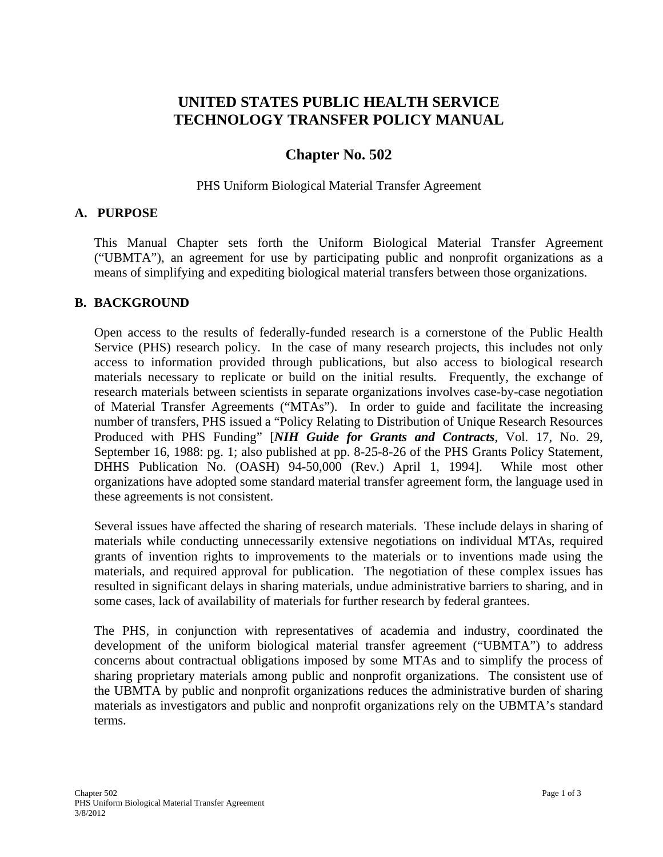# **UNITED STATES PUBLIC HEALTH SERVICE TECHNOLOGY TRANSFER POLICY MANUAL**

# **Chapter No. 502**

#### PHS Uniform Biological Material Transfer Agreement

#### **A. PURPOSE**

This Manual Chapter sets forth the Uniform Biological Material Transfer Agreement ("UBMTA"), an agreement for use by participating public and nonprofit organizations as a means of simplifying and expediting biological material transfers between those organizations.

#### **B. BACKGROUND**

Open access to the results of federally-funded research is a cornerstone of the Public Health Service (PHS) research policy. In the case of many research projects, this includes not only access to information provided through publications, but also access to biological research materials necessary to replicate or build on the initial results. Frequently, the exchange of research materials between scientists in separate organizations involves case-by-case negotiation of Material Transfer Agreements ("MTAs"). In order to guide and facilitate the increasing number of transfers, PHS issued a "Policy Relating to Distribution of Unique Research Resources Produced with PHS Funding" [*NIH Guide for Grants and Contracts*, Vol. 17, No. 29, September 16, 1988: pg. 1; also published at pp. 8-25-8-26 of the PHS Grants Policy Statement, DHHS Publication No. (OASH) 94-50,000 (Rev.) April 1, 1994]. While most other organizations have adopted some standard material transfer agreement form, the language used in these agreements is not consistent.

Several issues have affected the sharing of research materials. These include delays in sharing of materials while conducting unnecessarily extensive negotiations on individual MTAs, required grants of invention rights to improvements to the materials or to inventions made using the materials, and required approval for publication. The negotiation of these complex issues has resulted in significant delays in sharing materials, undue administrative barriers to sharing, and in some cases, lack of availability of materials for further research by federal grantees.

The PHS, in conjunction with representatives of academia and industry, coordinated the development of the uniform biological material transfer agreement ("UBMTA") to address concerns about contractual obligations imposed by some MTAs and to simplify the process of sharing proprietary materials among public and nonprofit organizations. The consistent use of the UBMTA by public and nonprofit organizations reduces the administrative burden of sharing materials as investigators and public and nonprofit organizations rely on the UBMTA's standard terms.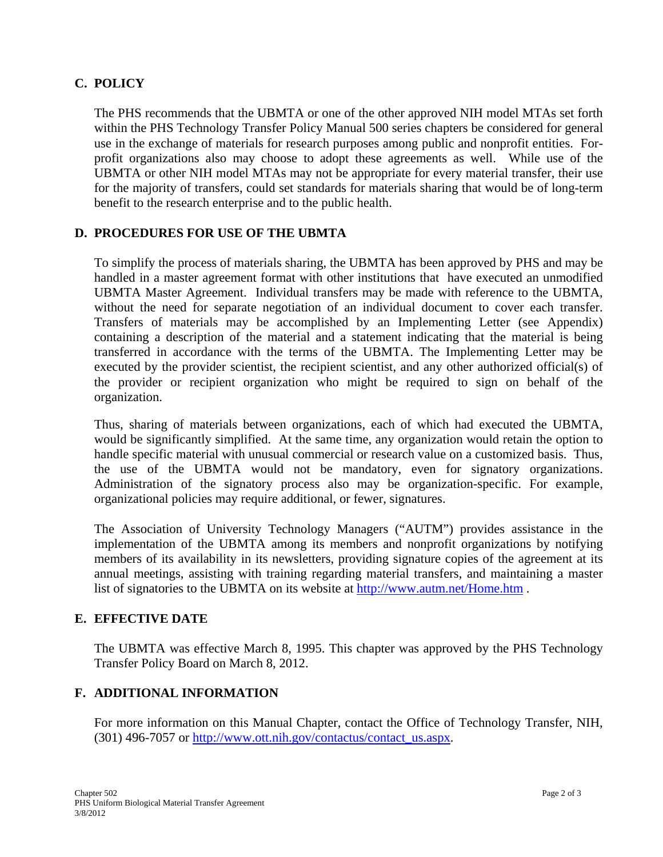# **C. POLICY**

The PHS recommends that the UBMTA or one of the other approved NIH model MTAs set forth within the PHS Technology Transfer Policy Manual 500 series chapters be considered for general use in the exchange of materials for research purposes among public and nonprofit entities. Forprofit organizations also may choose to adopt these agreements as well. While use of the UBMTA or other NIH model MTAs may not be appropriate for every material transfer, their use for the majority of transfers, could set standards for materials sharing that would be of long-term benefit to the research enterprise and to the public health.

### **D. PROCEDURES FOR USE OF THE UBMTA**

To simplify the process of materials sharing, the UBMTA has been approved by PHS and may be handled in a master agreement format with other institutions that have executed an unmodified UBMTA Master Agreement. Individual transfers may be made with reference to the UBMTA, without the need for separate negotiation of an individual document to cover each transfer. Transfers of materials may be accomplished by an Implementing Letter (see Appendix) containing a description of the material and a statement indicating that the material is being transferred in accordance with the terms of the UBMTA. The Implementing Letter may be executed by the provider scientist, the recipient scientist, and any other authorized official(s) of the provider or recipient organization who might be required to sign on behalf of the organization.

Thus, sharing of materials between organizations, each of which had executed the UBMTA, would be significantly simplified. At the same time, any organization would retain the option to handle specific material with unusual commercial or research value on a customized basis. Thus, the use of the UBMTA would not be mandatory, even for signatory organizations. Administration of the signatory process also may be organization-specific. For example, organizational policies may require additional, or fewer, signatures.

The Association of University Technology Managers ("AUTM") provides assistance in the implementation of the UBMTA among its members and nonprofit organizations by notifying members of its availability in its newsletters, providing signature copies of the agreement at its annual meetings, assisting with training regarding material transfers, and maintaining a master list of signatories to the UBMTA on its website at http://www.autm.net/Home.htm.

## **E. EFFECTIVE DATE**

The UBMTA was effective March 8, 1995. This chapter was approved by the PHS Technology Transfer Policy Board on March 8, 2012.

## **F. ADDITIONAL INFORMATION**

For more information on this Manual Chapter, contact the Office of Technology Transfer, NIH, (301) 496-7057 or http://www.ott.nih.gov/contactus/contact\_us.aspx.